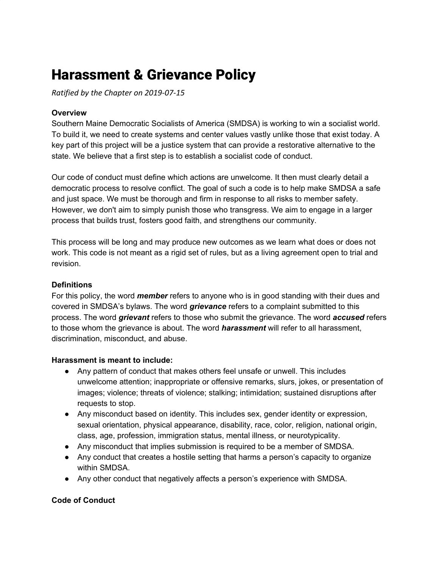# Harassment & Grievance Policy

*Ratified by the Chapter on 2019-07-15*

#### **Overview**

Southern Maine Democratic Socialists of America (SMDSA) is working to win a socialist world. To build it, we need to create systems and center values vastly unlike those that exist today. A key part of this project will be a justice system that can provide a restorative alternative to the state. We believe that a first step is to establish a socialist code of conduct.

Our code of conduct must define which actions are unwelcome. It then must clearly detail a democratic process to resolve conflict. The goal of such a code is to help make SMDSA a safe and just space. We must be thorough and firm in response to all risks to member safety. However, we don't aim to simply punish those who transgress. We aim to engage in a larger process that builds trust, fosters good faith, and strengthens our community.

This process will be long and may produce new outcomes as we learn what does or does not work. This code is not meant as a rigid set of rules, but as a living agreement open to trial and revision.

#### **Definitions**

For this policy, the word *member* refers to anyone who is in good standing with their dues and covered in SMDSA's bylaws. The word *grievance* refers to a complaint submitted to this process. The word *grievant* refers to those who submit the grievance. The word *accused* refers to those whom the grievance is about. The word *harassment* will refer to all harassment, discrimination, misconduct, and abuse.

#### **Harassment is meant to include:**

- Any pattern of conduct that makes others feel unsafe or unwell. This includes unwelcome attention; inappropriate or offensive remarks, slurs, jokes, or presentation of images; violence; threats of violence; stalking; intimidation; sustained disruptions after requests to stop.
- Any misconduct based on identity. This includes sex, gender identity or expression, sexual orientation, physical appearance, disability, race, color, religion, national origin, class, age, profession, immigration status, mental illness, or neurotypicality.
- Any misconduct that implies submission is required to be a member of SMDSA.
- Any conduct that creates a hostile setting that harms a person's capacity to organize within SMDSA.
- Any other conduct that negatively affects a person's experience with SMDSA.

#### **Code of Conduct**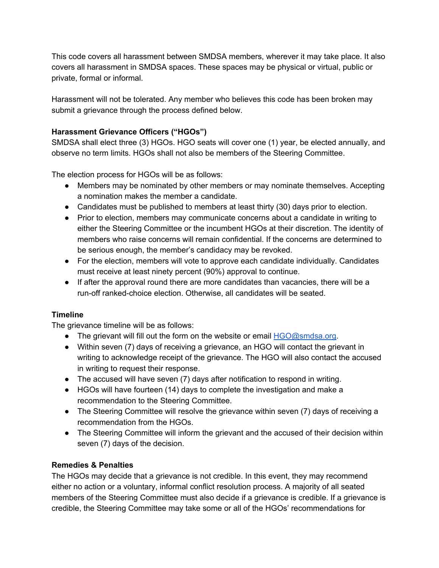This code covers all harassment between SMDSA members, wherever it may take place. It also covers all harassment in SMDSA spaces. These spaces may be physical or virtual, public or private, formal or informal.

Harassment will not be tolerated. Any member who believes this code has been broken may submit a grievance through the process defined below.

### **Harassment Grievance Officers ("HGOs")**

SMDSA shall elect three (3) HGOs. HGO seats will cover one (1) year, be elected annually, and observe no term limits. HGOs shall not also be members of the Steering Committee.

The election process for HGOs will be as follows:

- Members may be nominated by other members or may nominate themselves. Accepting a nomination makes the member a candidate.
- Candidates must be published to members at least thirty (30) days prior to election.
- Prior to election, members may communicate concerns about a candidate in writing to either the Steering Committee or the incumbent HGOs at their discretion. The identity of members who raise concerns will remain confidential. If the concerns are determined to be serious enough, the member's candidacy may be revoked.
- For the election, members will vote to approve each candidate individually. Candidates must receive at least ninety percent (90%) approval to continue.
- If after the approval round there are more candidates than vacancies, there will be a run-off ranked-choice election. Otherwise, all candidates will be seated.

## **Timeline**

The grievance timeline will be as follows:

- $\bullet$  The grievant will fill out the form on the website or email [HGO@smdsa.org.](mailto:HGO@smdsa.org)
- Within seven (7) days of receiving a grievance, an HGO will contact the grievant in writing to acknowledge receipt of the grievance. The HGO will also contact the accused in writing to request their response.
- The accused will have seven (7) days after notification to respond in writing.
- HGOs will have fourteen (14) days to complete the investigation and make a recommendation to the Steering Committee.
- The Steering Committee will resolve the grievance within seven (7) days of receiving a recommendation from the HGOs.
- The Steering Committee will inform the grievant and the accused of their decision within seven (7) days of the decision.

## **Remedies & Penalties**

The HGOs may decide that a grievance is not credible. In this event, they may recommend either no action or a voluntary, informal conflict resolution process. A majority of all seated members of the Steering Committee must also decide if a grievance is credible. If a grievance is credible, the Steering Committee may take some or all of the HGOs' recommendations for